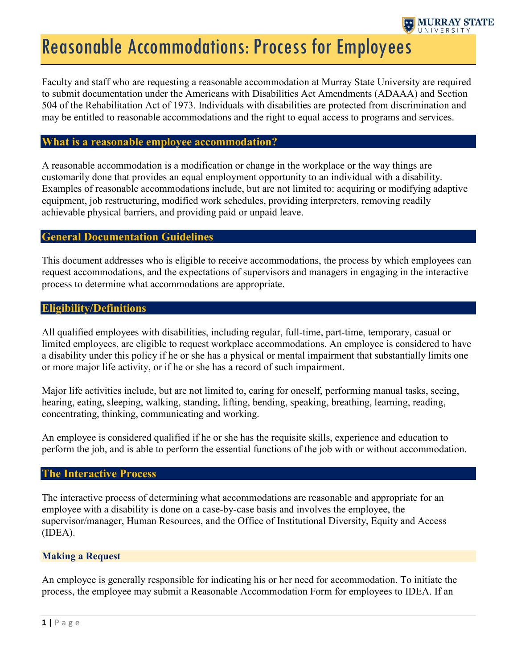

# Reasonable Accommodations: Process for Employees

Faculty and staff who are requesting a reasonable accommodation at Murray State University are required to submit documentation under the Americans with Disabilities Act Amendments (ADAAA) and Section 504 of the Rehabilitation Act of 1973. Individuals with disabilities are protected from discrimination and may be entitled to reasonable accommodations and the right to equal access to programs and services.

## What is a reasonable employee accommodation?

A reasonable accommodation is a modification or change in the workplace or the way things are customarily done that provides an equal employment opportunity to an individual with a disability. Examples of reasonable accommodations include, but are not limited to: acquiring or modifying adaptive equipment, job restructuring, modified work schedules, providing interpreters, removing readily achievable physical barriers, and providing paid or unpaid leave.

# General Documentation Guidelines

This document addresses who is eligible to receive accommodations, the process by which employees can request accommodations, and the expectations of supervisors and managers in engaging in the interactive process to determine what accommodations are appropriate.

## Eligibility/Definitions

All qualified employees with disabilities, including regular, full-time, part-time, temporary, casual or limited employees, are eligible to request workplace accommodations. An employee is considered to have a disability under this policy if he or she has a physical or mental impairment that substantially limits one or more major life activity, or if he or she has a record of such impairment.

Major life activities include, but are not limited to, caring for oneself, performing manual tasks, seeing, hearing, eating, sleeping, walking, standing, lifting, bending, speaking, breathing, learning, reading, concentrating, thinking, communicating and working.

An employee is considered qualified if he or she has the requisite skills, experience and education to perform the job, and is able to perform the essential functions of the job with or without accommodation.

#### The Interactive Process

The interactive process of determining what accommodations are reasonable and appropriate for an employee with a disability is done on a case-by-case basis and involves the employee, the supervisor/manager, Human Resources, and the Office of Institutional Diversity, Equity and Access (IDEA).

#### Making a Request

An employee is generally responsible for indicating his or her need for accommodation. To initiate the process, the employee may submit a Reasonable Accommodation Form for employees to IDEA. If an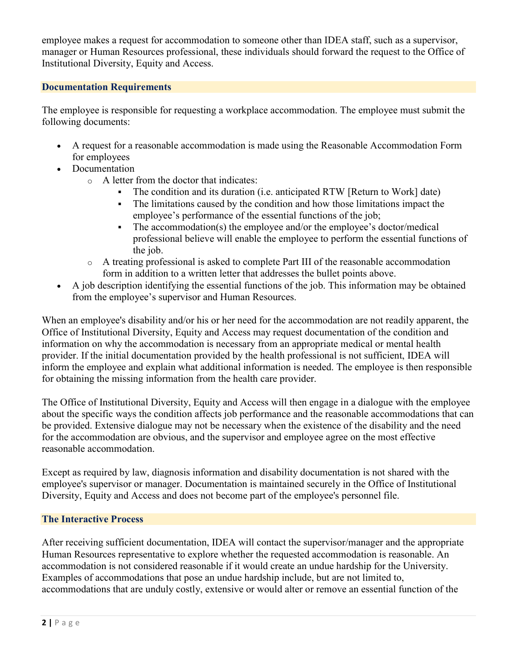employee makes a request for accommodation to someone other than IDEA staff, such as a supervisor, manager or Human Resources professional, these individuals should forward the request to the Office of Institutional Diversity, Equity and Access.

# Documentation Requirements

The employee is responsible for requesting a workplace accommodation. The employee must submit the following documents:

- A request for a reasonable accommodation is made using the Reasonable Accommodation Form for employees
- Documentation
	- o A letter from the doctor that indicates:
		- The condition and its duration (i.e. anticipated RTW [Return to Work] date)
		- The limitations caused by the condition and how those limitations impact the employee's performance of the essential functions of the job;
		- The accommodation(s) the employee and/or the employee's doctor/medical professional believe will enable the employee to perform the essential functions of the job.
	- $\circ$  A treating professional is asked to complete Part III of the reasonable accommodation form in addition to a written letter that addresses the bullet points above.
- A job description identifying the essential functions of the job. This information may be obtained from the employee's supervisor and Human Resources.

When an employee's disability and/or his or her need for the accommodation are not readily apparent, the Office of Institutional Diversity, Equity and Access may request documentation of the condition and information on why the accommodation is necessary from an appropriate medical or mental health provider. If the initial documentation provided by the health professional is not sufficient, IDEA will inform the employee and explain what additional information is needed. The employee is then responsible for obtaining the missing information from the health care provider.

The Office of Institutional Diversity, Equity and Access will then engage in a dialogue with the employee about the specific ways the condition affects job performance and the reasonable accommodations that can be provided. Extensive dialogue may not be necessary when the existence of the disability and the need for the accommodation are obvious, and the supervisor and employee agree on the most effective reasonable accommodation.

Except as required by law, diagnosis information and disability documentation is not shared with the employee's supervisor or manager. Documentation is maintained securely in the Office of Institutional Diversity, Equity and Access and does not become part of the employee's personnel file.

# The Interactive Process

After receiving sufficient documentation, IDEA will contact the supervisor/manager and the appropriate Human Resources representative to explore whether the requested accommodation is reasonable. An accommodation is not considered reasonable if it would create an undue hardship for the University. Examples of accommodations that pose an undue hardship include, but are not limited to, accommodations that are unduly costly, extensive or would alter or remove an essential function of the